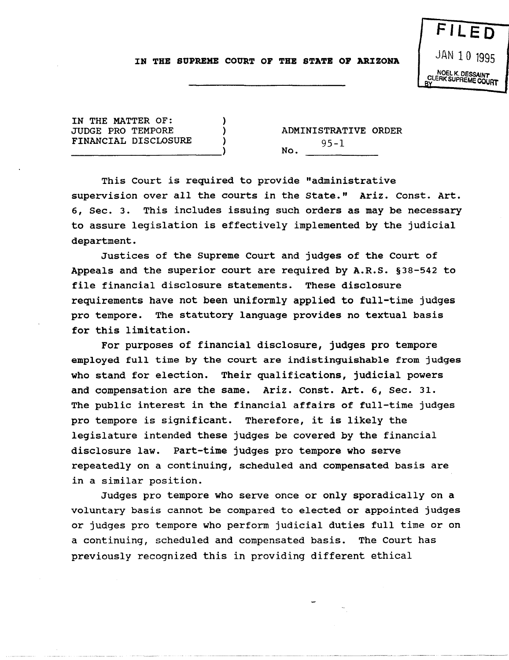## IN THE SUPREME COURT OF THE STATE OF ARIZONA

) ) )

IN THE MATTER OF: JUDGE PRO TEMPORE FINANCIAL DISCLOSURE ------------------------)

ADMINISTRATIVE ORDER  $95-1$ 

This Court is required to provide "administrative supervision over all the courts in the State." Ariz. Const. Art. 6, Sec. 3. This includes issuing such orders as may be necessary to assure legislation is effectively implemented by the judicial department.

Justices of the Supreme Court and judges of the Court of Appeals and the superior court are required by A.R.S. §38-542 to file financial disclosure statements. These disclosure requirements have not been uniformly applied to full-time judges pro tempore. The statutory language provides no textual basis for this limitation.

For purposes of financial disclosure, judges pro tempore employed full time by the court are indistinguishable from judges who stand for election. Their qualifications, judicial powers and compensation are the same. Ariz. Const. Art. 6, Sec. 31. The public interest in the financial affairs of full-time judges pro tempore is significant. Therefore, it is likely the legislature intended these judges be covered by the financial disclosure law. Part-time judges pro tempore who serve repeatedly on a continuing, scheduled and compensated basis are in a similar position.

Judges pro tempore who serve once or only sporadically on a voluntary basis cannot be compared to elected or appointed judges or judges pro tempore who perform judicial duties full time or on a continuing, scheduled and compensated basis. The Court has previously recognized this in providing different ethical